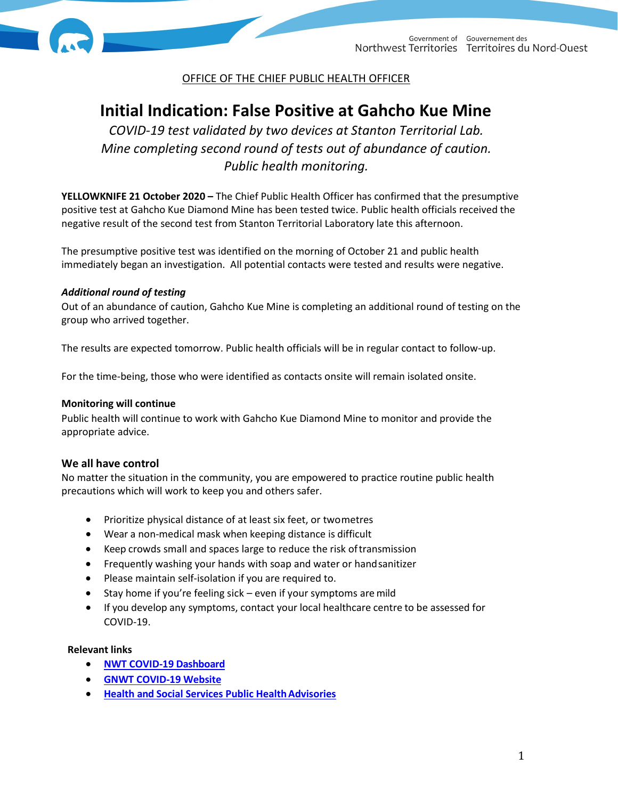



OFFICE OF THE CHIEF PUBLIC HEALTH OFFICER

# **Initial Indication: False Positive at Gahcho Kue Mine**

*COVID-19 test validated by two devices at Stanton Territorial Lab. Mine completing second round of tests out of abundance of caution. Public health monitoring.* 

**YELLOWKNIFE 21 October 2020 –** The Chief Public Health Officer has confirmed that the presumptive positive test at Gahcho Kue Diamond Mine has been tested twice. Public health officials received the negative result of the second test from Stanton Territorial Laboratory late this afternoon.

The presumptive positive test was identified on the morning of October 21 and public health immediately began an investigation. All potential contacts were tested and results were negative.

## *Additional round of testing*

Out of an abundance of caution, Gahcho Kue Mine is completing an additional round of testing on the group who arrived together.

The results are expected tomorrow. Public health officials will be in regular contact to follow-up.

For the time-being, those who were identified as contacts onsite will remain isolated onsite.

### **Monitoring will continue**

Public health will continue to work with Gahcho Kue Diamond Mine to monitor and provide the appropriate advice.

## **We all have control**

No matter the situation in the community, you are empowered to practice routine public health precautions which will work to keep you and others safer.

- Prioritize physical distance of at least six feet, or twometres
- Wear a non-medical mask when keeping distance is difficult
- Keep crowds small and spaces large to reduce the risk oftransmission
- Frequently washing your hands with soap and water or handsanitizer
- Please maintain self-isolation if you are required to.
- Stay home if you're feeling sick even if your symptoms are mild
- If you develop any symptoms, contact your local healthcare centre to be assessed for COVID-19.

#### **Relevant links**

- **[NWT COVID-19](https://nwt-covid.shinyapps.io/Testing-and-Cases/?lang=1) Dashboard**
- **[GNWT COVID-19](https://www.gov.nt.ca/covid-19/) Website**
- **Health and Social Services Public Health Advisories**